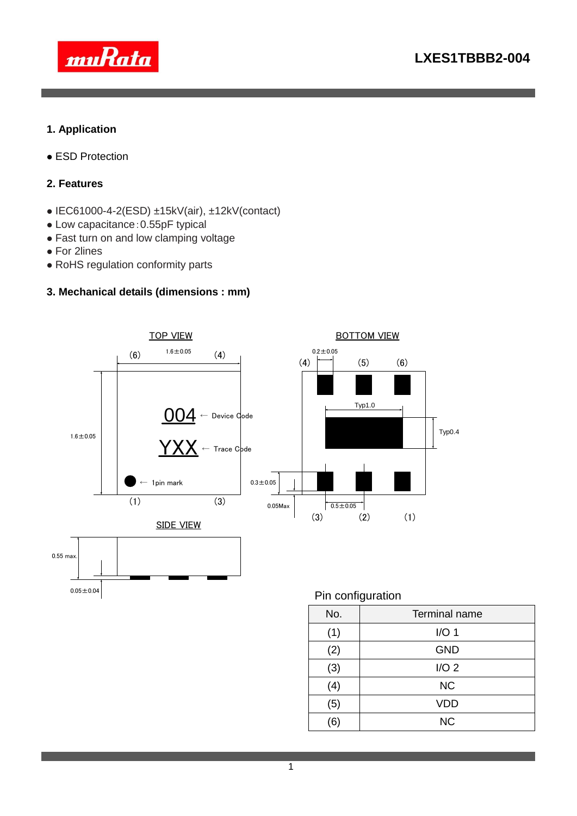

### **1. Application**

**• ESD Protection** 

#### **2. Features**

- $\bullet$  IEC61000-4-2(ESD)  $\pm$ 15kV(air),  $\pm$ 12kV(contact)
- Low capacitance:0.55pF typical
- Fast turn on and low clamping voltage
- For 2lines
- RoHS regulation conformity parts

### **3. Mechanical details (dimensions : mm)**



(5) VDD (6) NC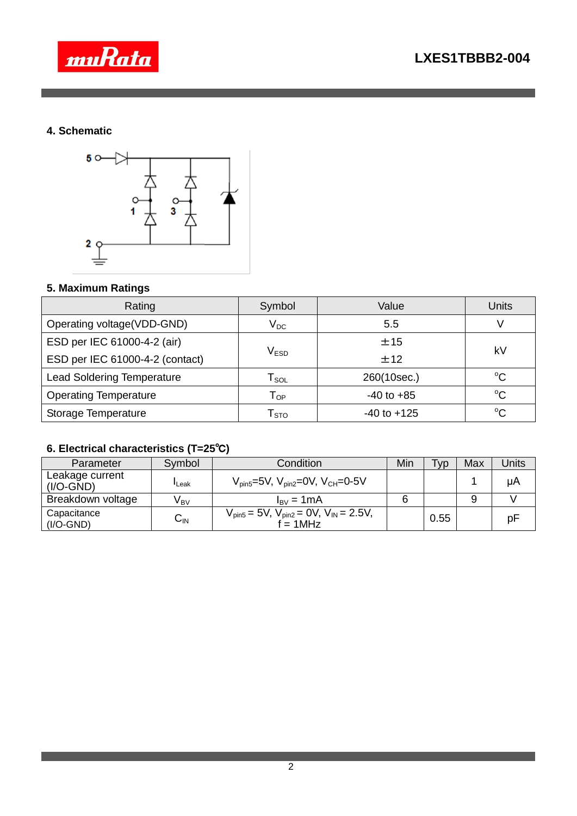

### **4. Schematic**



# **5. Maximum Ratings**

| Rating                            | Symbol                           | Value           | Units       |  |
|-----------------------------------|----------------------------------|-----------------|-------------|--|
| Operating voltage(VDD-GND)        | $\mathsf{V}_\mathsf{DC}$         | 5.5             |             |  |
| ESD per IEC 61000-4-2 (air)       |                                  | ±15             | kV          |  |
| ESD per IEC 61000-4-2 (contact)   | $\mathsf{V}_{\mathsf{ESD}}$      | ±12             |             |  |
| <b>Lead Soldering Temperature</b> | $\mathsf{\Gamma}_{\texttt{SOL}}$ | 260(10sec.)     | $^{\circ}C$ |  |
| <b>Operating Temperature</b>      | $\mathsf{T}_{\mathsf{OP}}$       | $-40$ to $+85$  | $^{\circ}C$ |  |
| Storage Temperature               | $\sf r_{\rm s\tau o}$            | $-40$ to $+125$ | $^{\circ}C$ |  |

# **6. Electrical characteristics (T=25**℃**)**

| Parameter                      | Symbol          | Condition                                                                | Min | <b>VD</b> | Max | Jnits |
|--------------------------------|-----------------|--------------------------------------------------------------------------|-----|-----------|-----|-------|
| Leakage current<br>$(I/O-GND)$ | $\sf I$ Leak    | $V_{\text{pin5}} = 5V$ , $V_{\text{pin2}} = 0V$ , $V_{\text{CH}} = 0.5V$ |     |           |     | μA    |
| Breakdown voltage              | V <sub>BV</sub> | $I_{\rm BV} = 1 \text{mA}$                                               |     |           |     |       |
| Capacitance<br>$(I/O-GND)$     | ⌒<br>UIN        | $V_{pin5} = 5V$ , $V_{pin2} = 0V$ , $V_{IN} = 2.5V$ ,<br>$= 1$ MHz       |     | 0.55      |     | рF    |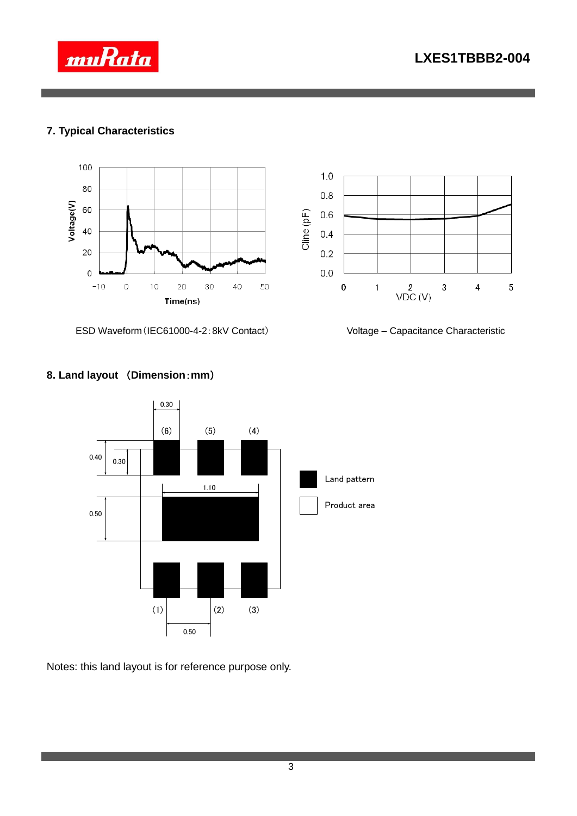



### **7. Typical Characteristics**





ESD Waveform(IEC61000-4-2:8kV Contact) Voltage – Capacitance Characteristic

# **8. Land layout** (**Dimension**:**mm**)



Notes: this land layout is for reference purpose only.